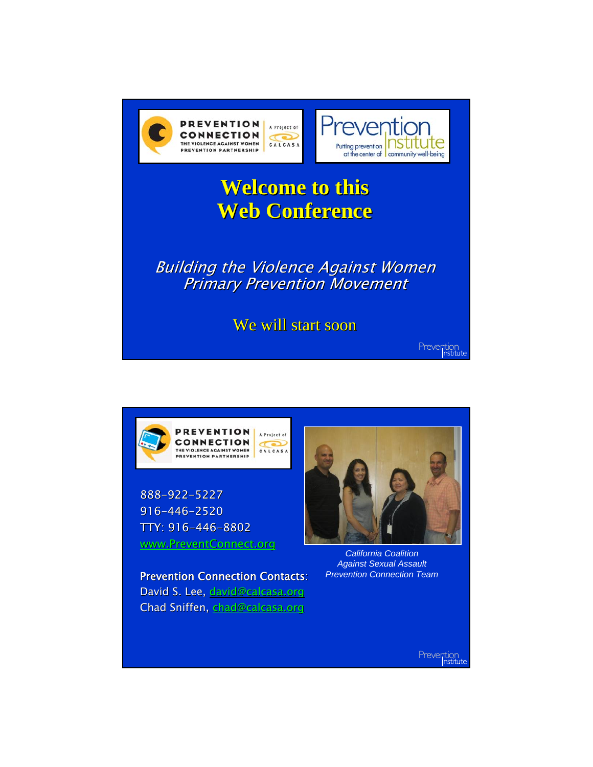



888-922-5227 916-446-2520 TTY: 916-446-8802 www.PreventConnect.org

Prevention Connection Contacts: David S. Lee, david@calcasa.org Chad Sniffen, chad@calcasa.org



*California Coalition Against Sexual Assault Prevention Connection Team*

Prevention<br>
nstitute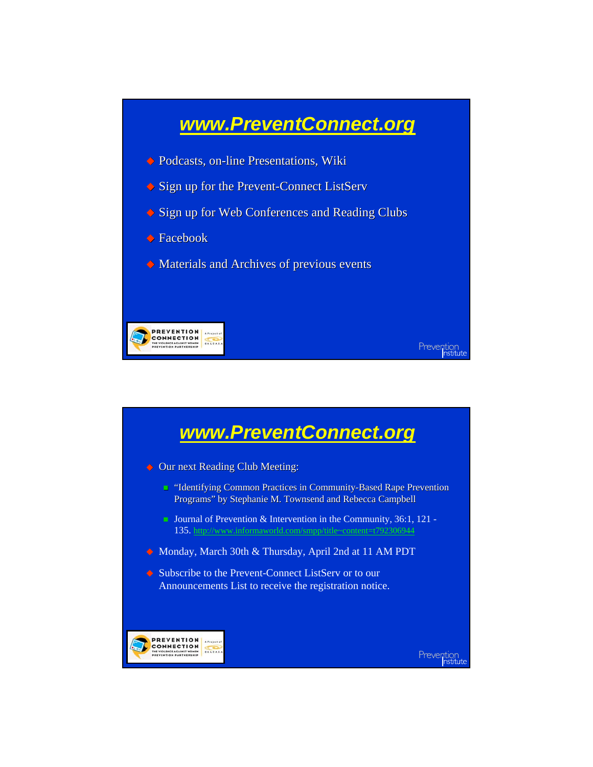

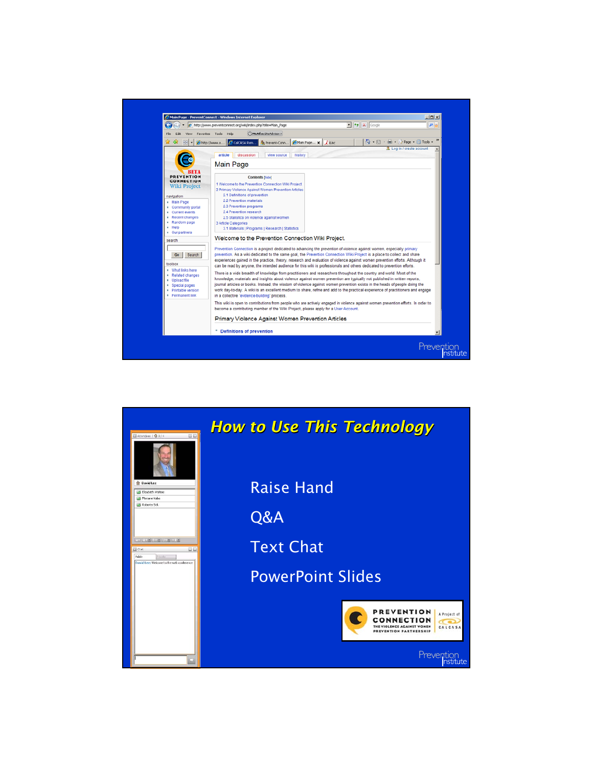

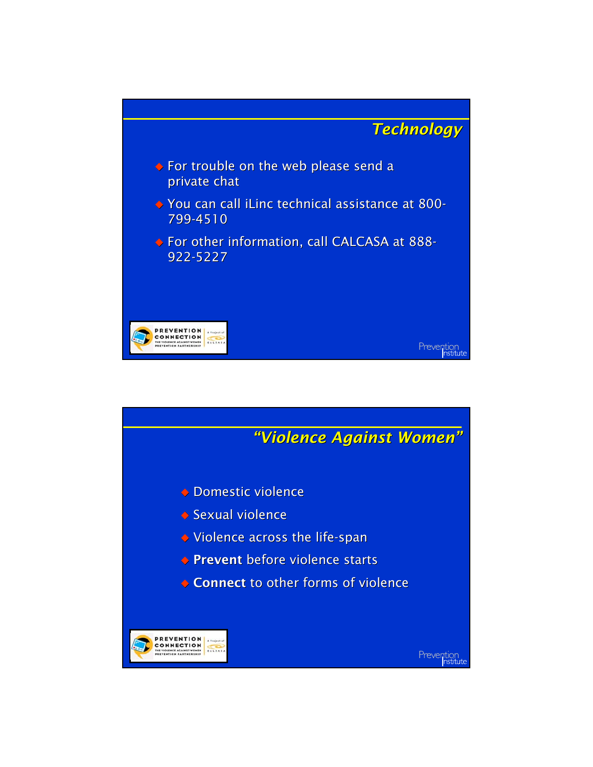

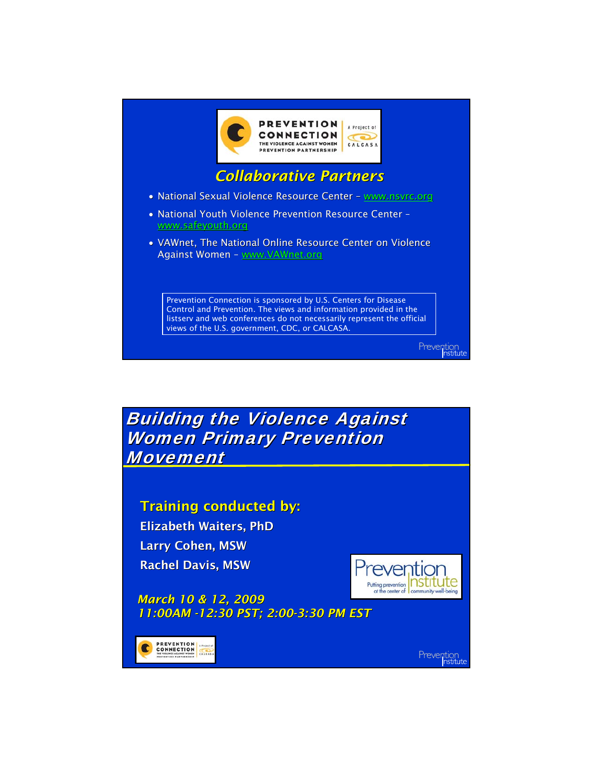

**Building the Violence Against Women Primary Prevention Movement** 

Training conducted by:

Elizabeth Waiters, PhD Larry Cohen, MSW Rachel Davis, MSW



*March 10 & 12, 2009 11:00AM -12:30 PST; 2:00-3:30 PM EST*

**PREVENTION**<br>CONNECTION

Prevention<br>Institute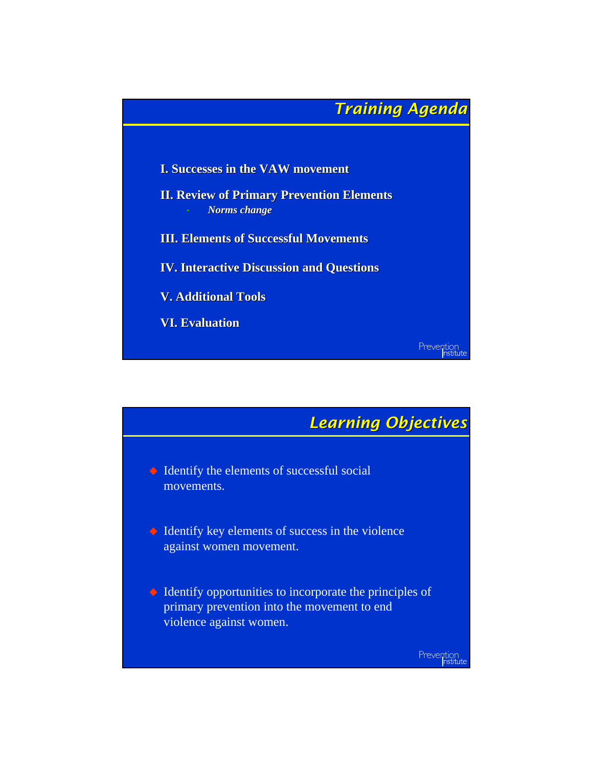

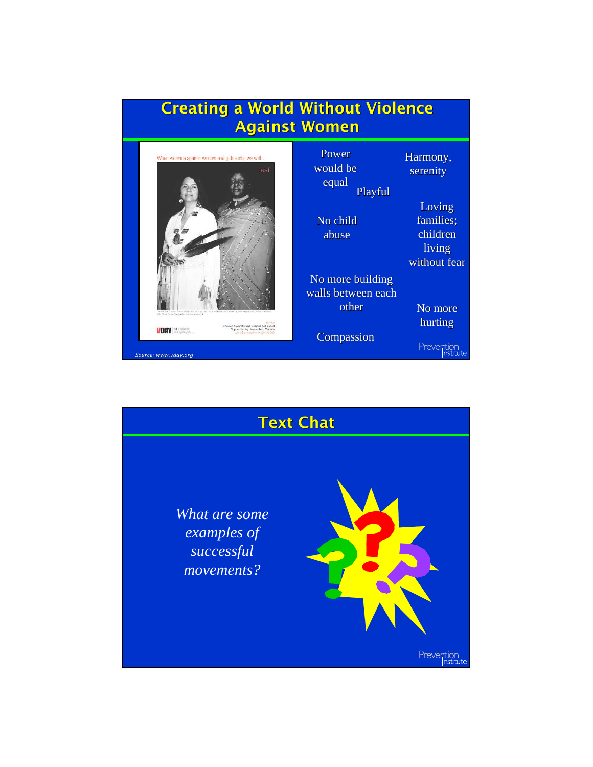

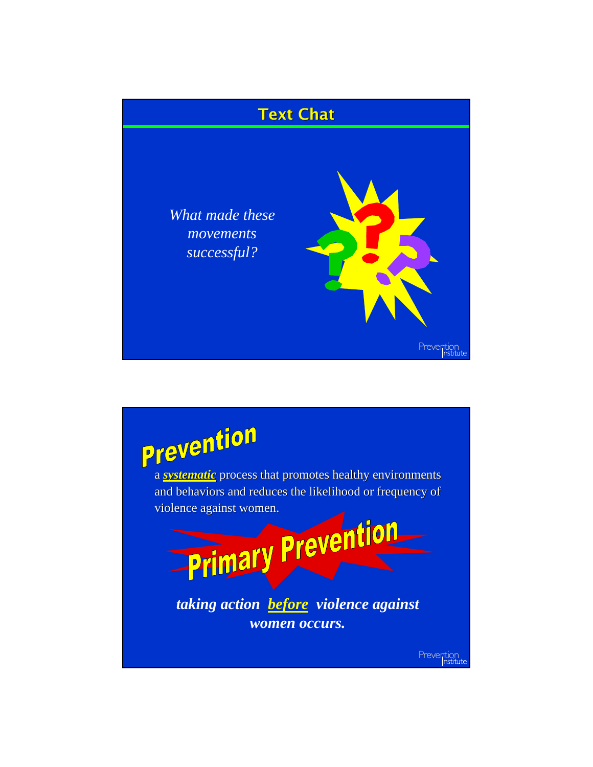

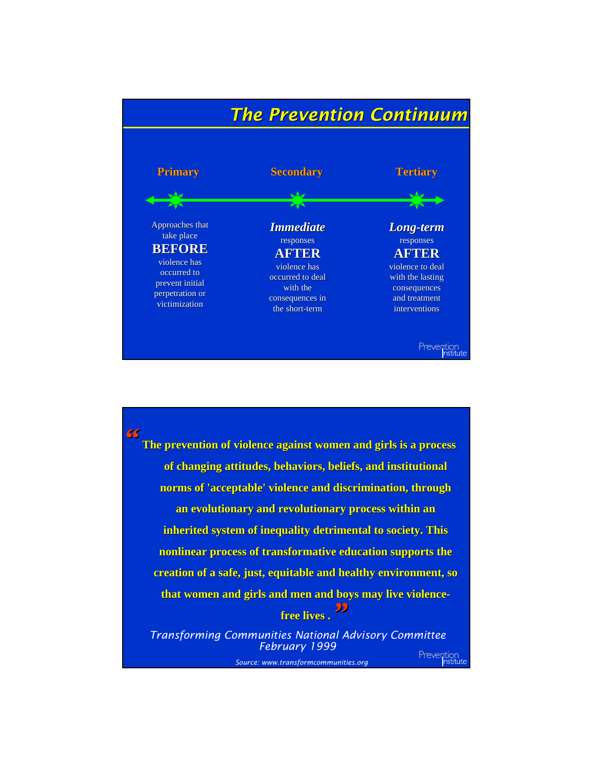

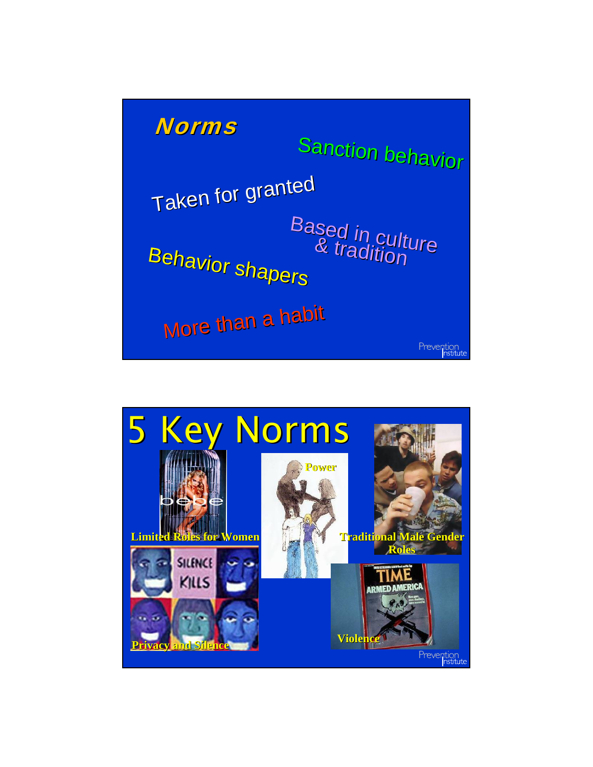

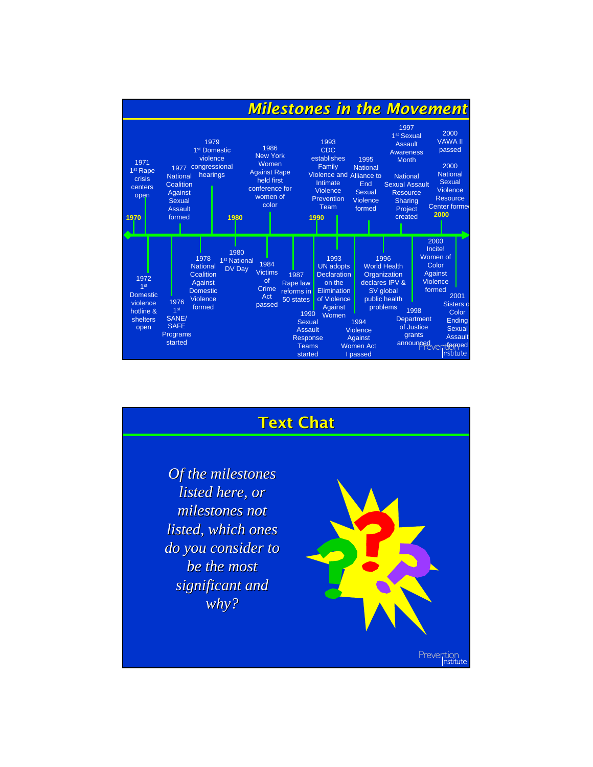|                                                                             |                                                                                                                                                                                                      | <b>Milestones in the Movement</b>                                                                                                                                         |                                                                                                                               |                                                                                                                                                                                                         |                                                                                                                                                                                                                                               |
|-----------------------------------------------------------------------------|------------------------------------------------------------------------------------------------------------------------------------------------------------------------------------------------------|---------------------------------------------------------------------------------------------------------------------------------------------------------------------------|-------------------------------------------------------------------------------------------------------------------------------|---------------------------------------------------------------------------------------------------------------------------------------------------------------------------------------------------------|-----------------------------------------------------------------------------------------------------------------------------------------------------------------------------------------------------------------------------------------------|
| 1971<br>1 <sup>st</sup> Rape<br>crisis<br>centers<br>open<br>1970           | 1979<br>1 <sup>st</sup> Domestic<br>violence<br>congressional<br>1977<br>hearings<br><b>National</b><br>Coalition<br>Against<br><b>Sexual</b><br><b>Assault</b><br>formed<br>1980                    | 1986<br><b>New York</b><br>Women<br><b>Against Rape</b><br>held first<br>conference for<br>women of<br>color                                                              | 1993<br><b>CDC</b><br>establishes<br>Family<br>Violence and Alliance to<br>Intimate<br>Violence<br>Prevention<br>Team<br>1990 | 1 <sup>st</sup> Sexual<br><b>Assault</b><br>1995<br><b>Month</b><br><b>National</b><br><b>National</b><br>End<br><b>Sexual Assault</b><br>Sexual<br>Violence<br>Sharing<br>formed<br>Project<br>created | 1997<br>2000<br><b>VAWA II</b><br>passed<br><b>Awareness</b><br>2000<br><b>National</b><br>Sexual<br>Violence<br><b>Resource</b><br><b>Resource</b><br><b>Center former</b><br>2000                                                           |
| 1972<br>1st<br><b>Domestic</b><br>violence<br>hotline &<br>shelters<br>open | 1980<br>1978<br>1 <sup>st</sup> National<br><b>National</b><br>DV Day<br>Coalition<br>Against<br><b>Domestic</b><br>Violence<br>1976<br>formed<br>1st<br>SANE/<br><b>SAFE</b><br>Programs<br>started | 1984<br><b>Victims</b><br>1987<br>of<br>Rape law<br>Crime<br>reforms in<br>Act<br>50 states<br>passed<br>1990<br>Sexual<br>Assault<br>Response<br><b>Teams</b><br>started | 1993<br><b>UN</b> adopts<br><b>Declaration</b><br>on the<br><b>Elimination</b><br>of Violence<br>Against<br>Women             | 1996<br><b>World Health</b><br>Organization<br>declares IPV &<br>SV global<br>public health<br>problems<br>1994<br><b>Violence</b><br><b>Against</b><br><b>Women Act</b><br>I passed                    | 2000<br>Incite!<br>Women of<br>Color<br>Against<br><b>Violence</b><br>formed<br>2001<br>Sisters o<br>1998<br>Color<br>Department<br>Ending<br>of Justice<br>Sexual<br>grants<br><b>Assault</b><br>announced <sub>ventformed</sub><br>nstitute |

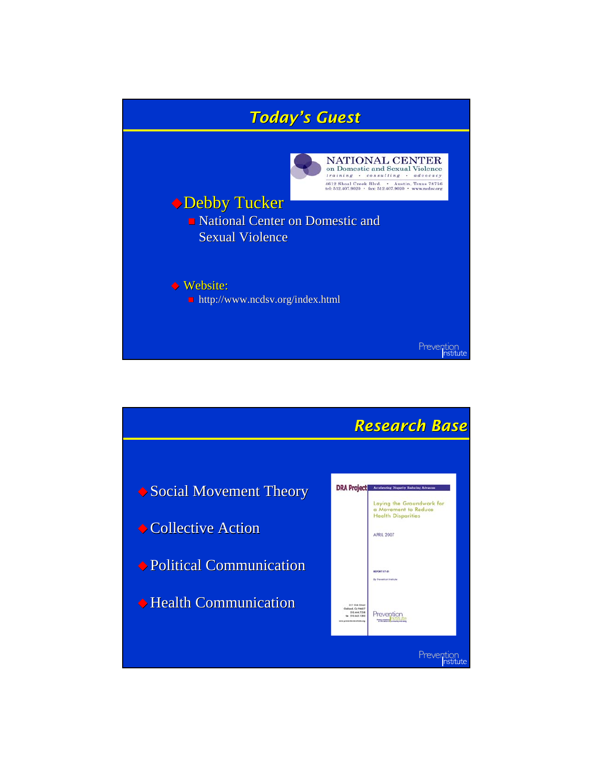

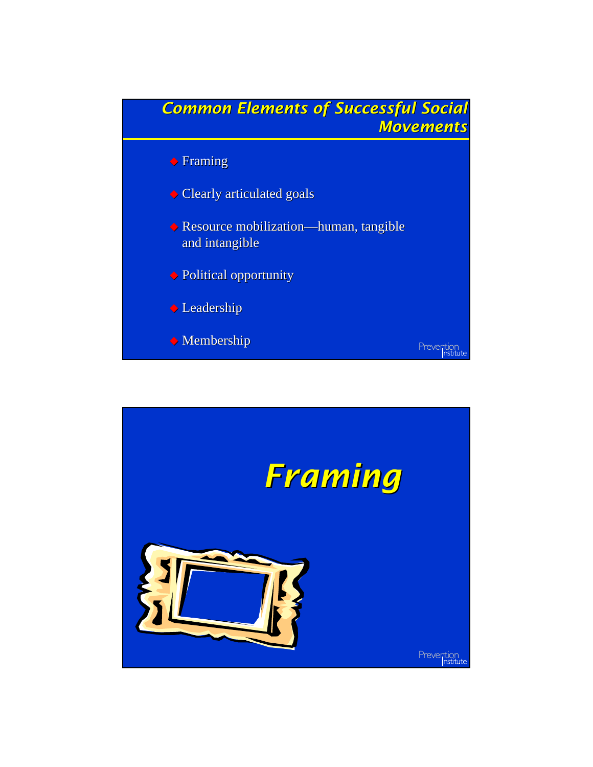

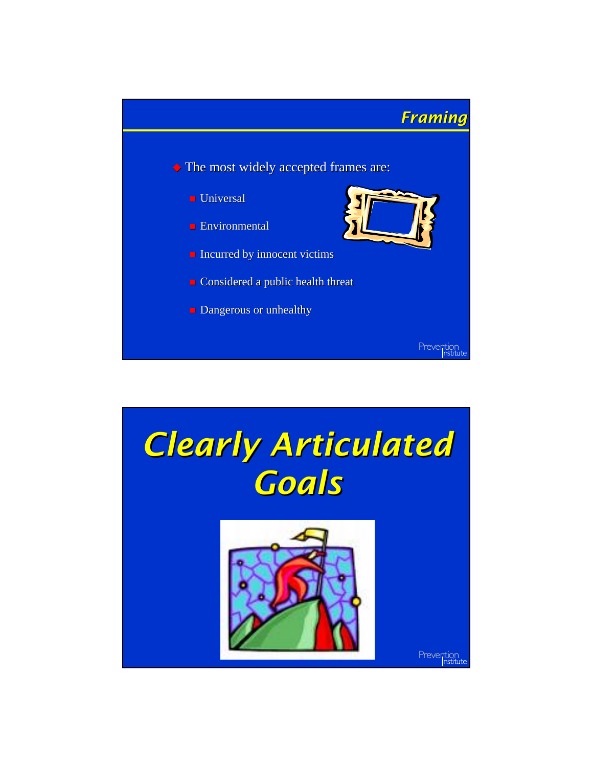

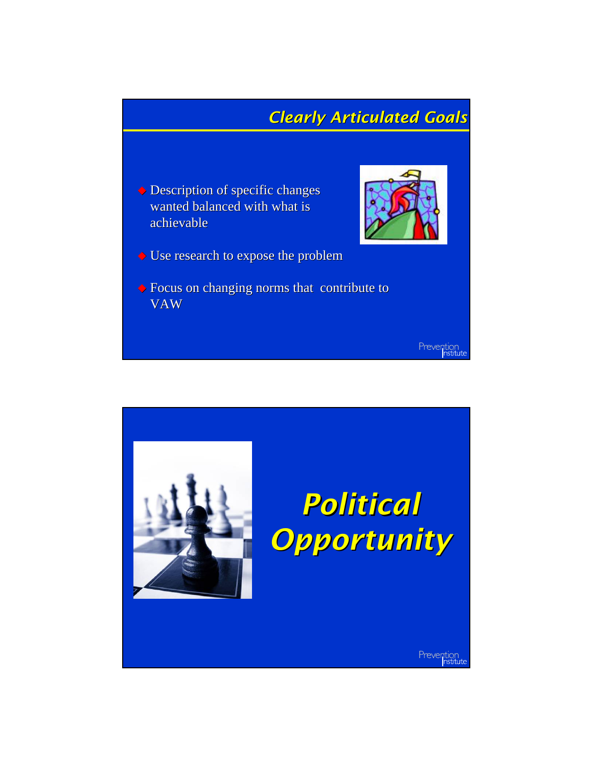## *Clearly Articulated Goals Clearly*

 $\blacklozenge$  Description of specific changes wanted balanced with what is achievable achievable



- $\blacklozenge$  Use research to expose the problem
- $\blacklozenge$  Focus on changing norms that contribute to VAW

Prevention<br>
nstitute

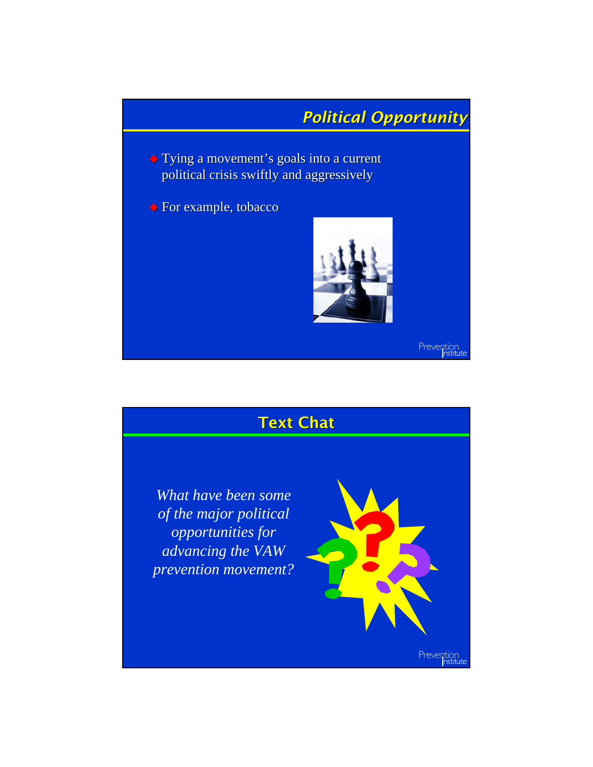

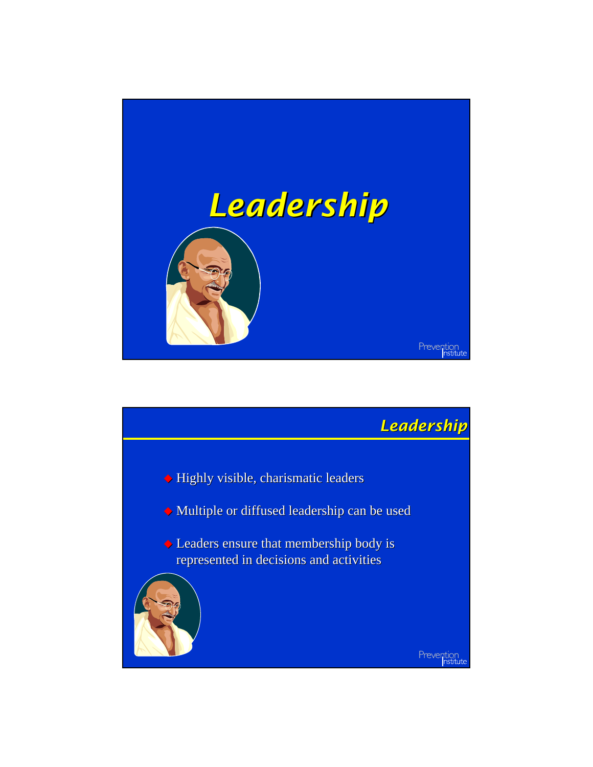

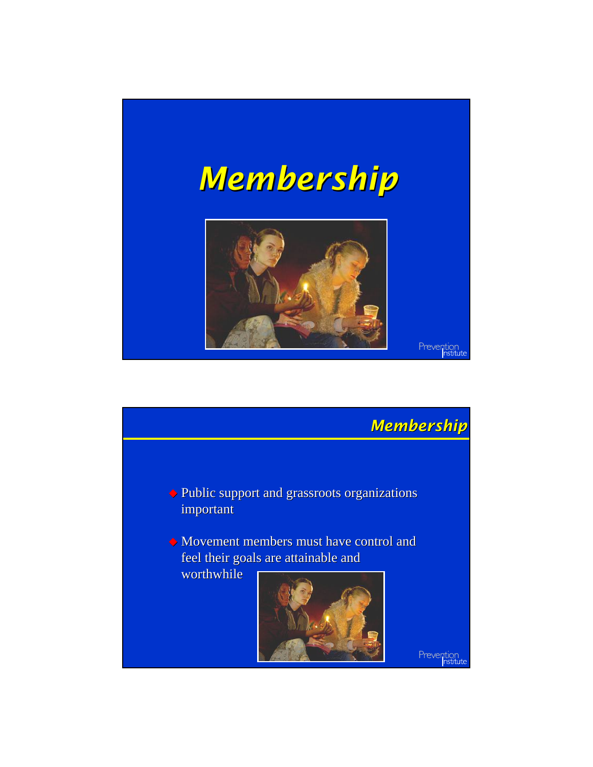

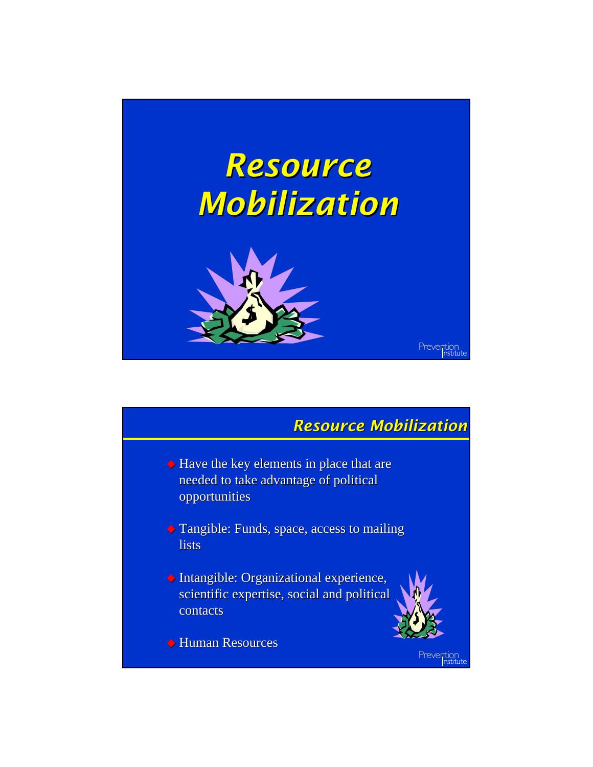

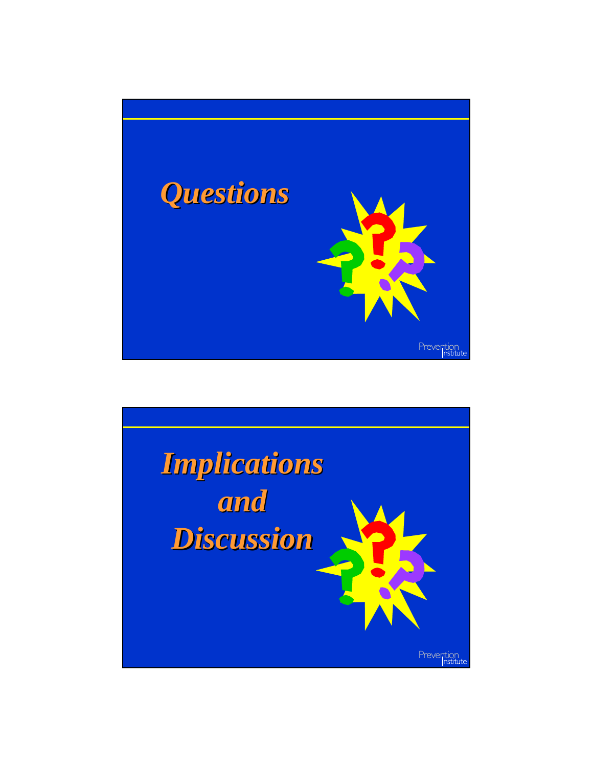

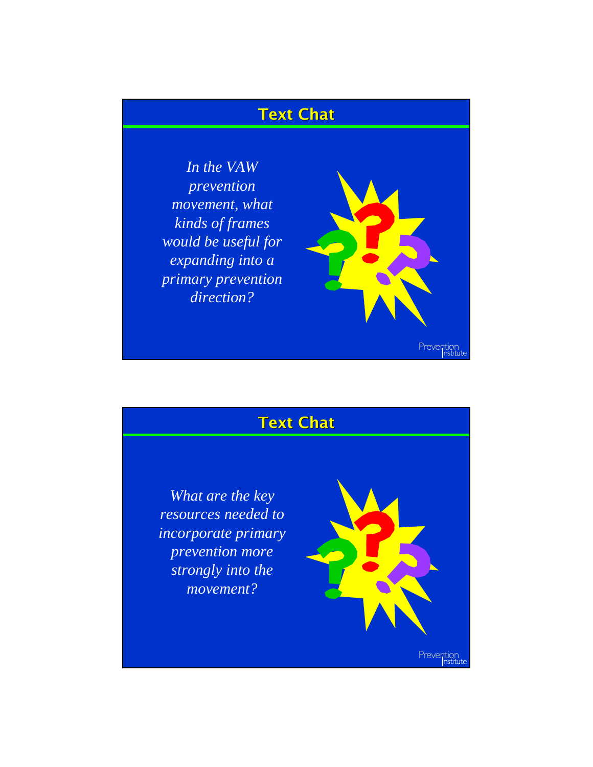## **Text Chat**

*In the VAW prevention movement, what kinds of frames would be useful for expanding into a primary prevention direction?*



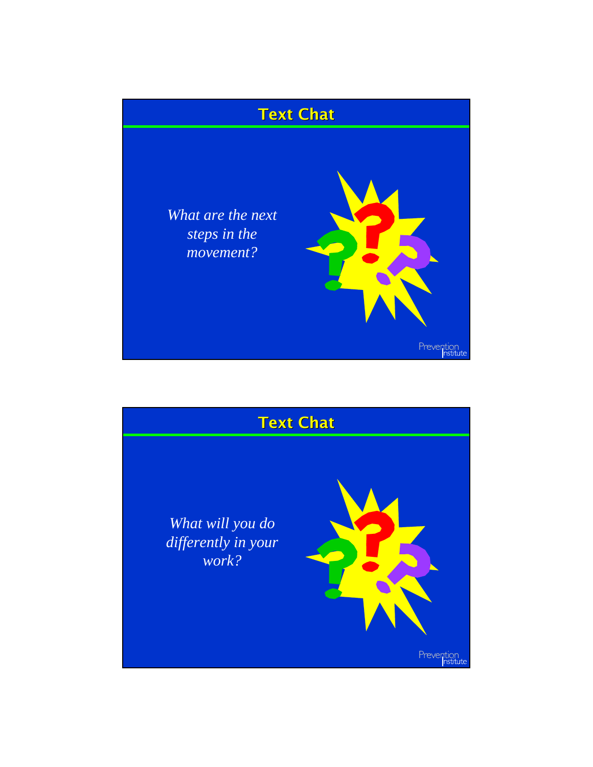

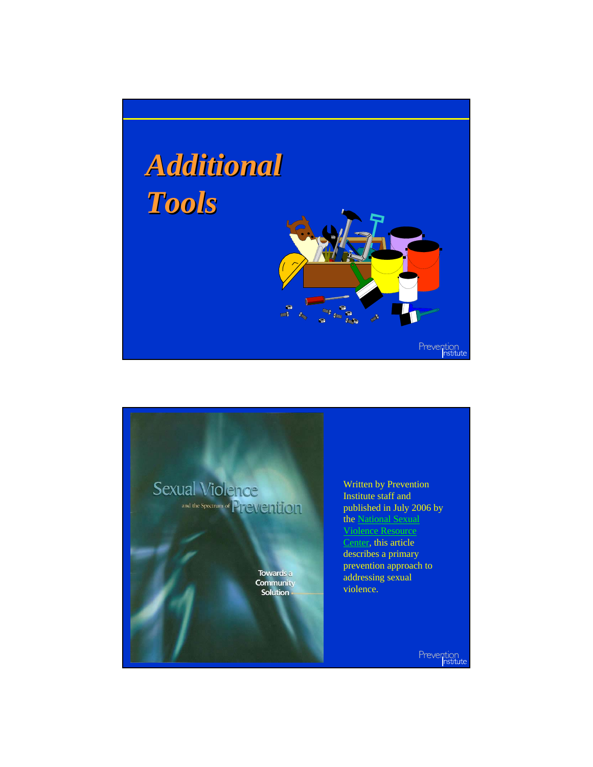

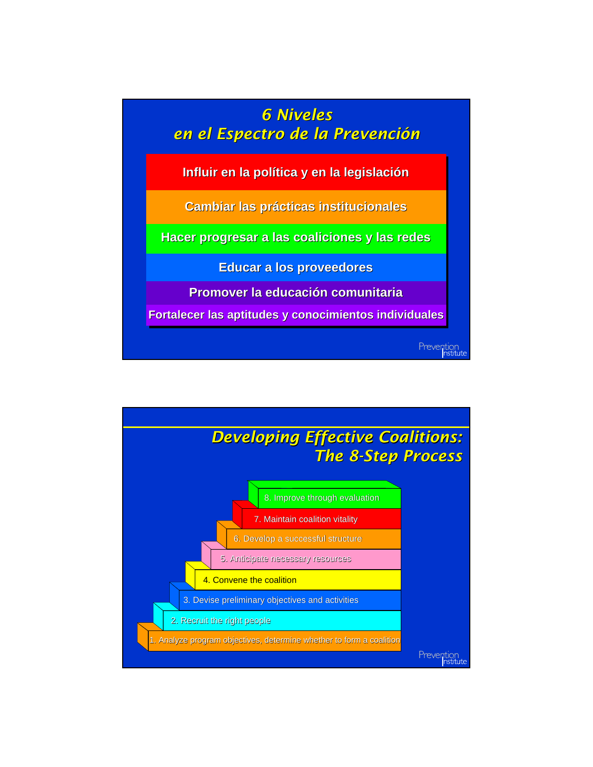

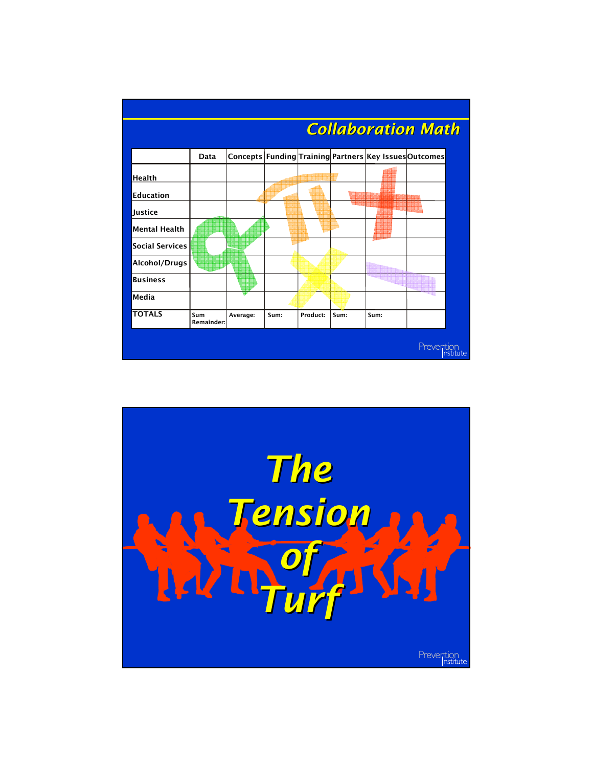

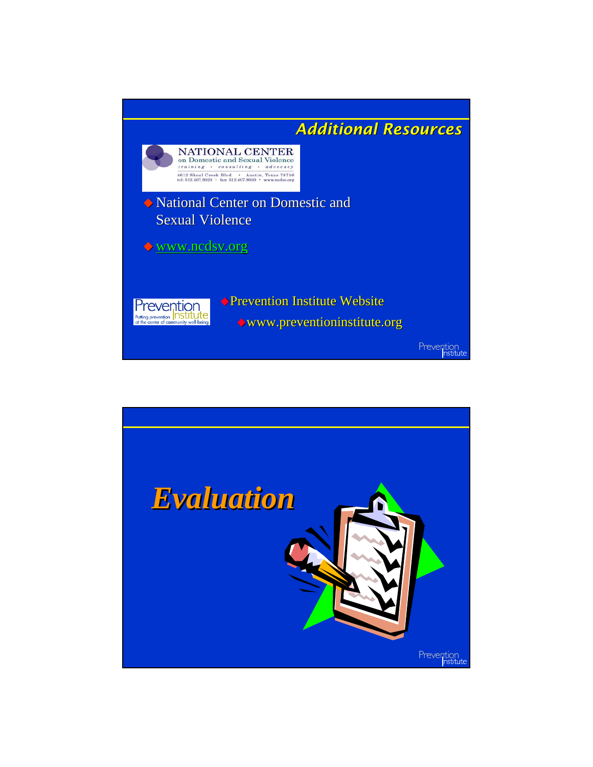